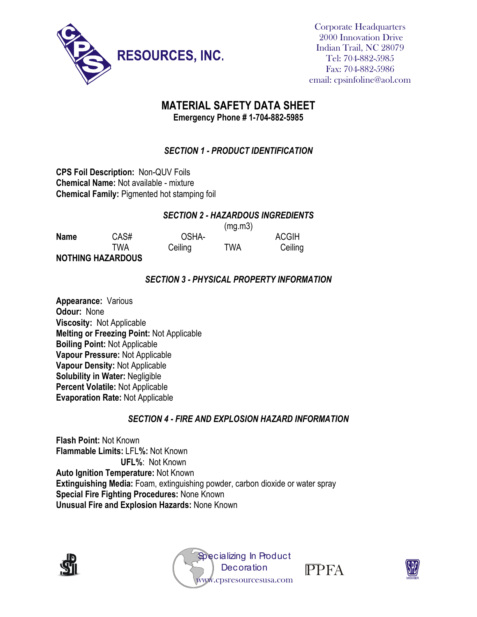

Corporate Headquarters 2000 Innovation Drive Indian Trail, NC 28079 Tel: 704-882-5985 Fax: 704-882-5986 email: cpsinfoline@aol.com

# **MATERIAL SAFETY DATA SHEET**

**Emergency Phone # 1-704-882-5985**

### *SECTION 1 - PRODUCT IDENTIFICATION*

**CPS Foil Description:** Non-QUV Foils **Chemical Name:** Not available - mixture **Chemical Family:** Pigmented hot stamping foil

#### *SECTION 2 - HAZARDOUS INGREDIENTS*

 $(mq, m3)$ 

| <b>Name</b> | CAS#                     | OSHA-   | <b>U</b> | <b>ACGIH</b> |
|-------------|--------------------------|---------|----------|--------------|
|             | TWA                      | Ceiling | TWA      | Ceiling      |
|             | <b>NOTHING HAZARDOUS</b> |         |          |              |

#### *SECTION 3 - PHYSICAL PROPERTY INFORMATION*

**Appearance:** Various **Odour:** None **Viscosity:** Not Applicable **Melting or Freezing Point:** Not Applicable **Boiling Point:** Not Applicable **Vapour Pressure:** Not Applicable **Vapour Density:** Not Applicable **Solubility in Water:** Negligible **Percent Volatile:** Not Applicable **Evaporation Rate:** Not Applicable

#### *SECTION 4 - FIRE AND EXPLOSION HAZARD INFORMATION*

**Flash Point:** Not Known **Flammable Limits:** LFL**%:** Not Known **UFL%**: Not Known **Auto Ignition Temperature:** Not Known **Extinguishing Media:** Foam, extinguishing powder, carbon dioxide or water spray **Special Fire Fighting Procedures:** None Known **Unusual Fire and Explosion Hazards:** None Known